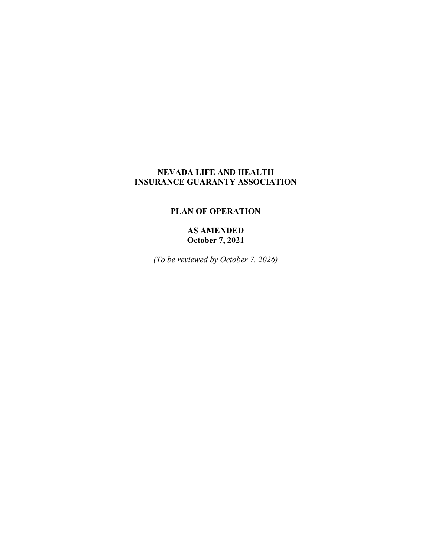# **NEVADA LIFE AND HEALTH INSURANCE GUARANTY ASSOCIATION**

## **PLAN OF OPERATION**

**AS AMENDED October 7, 2021**

*(To be reviewed by October 7, 2026)*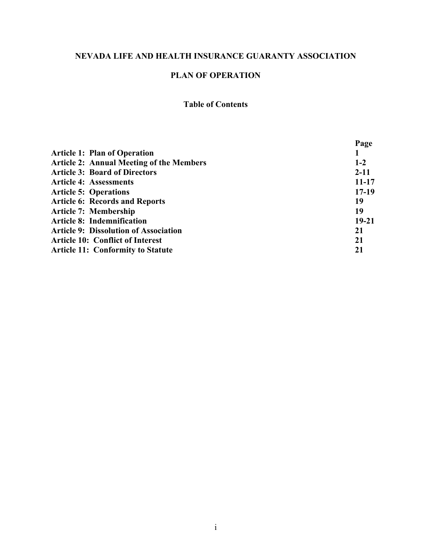# **NEVADA LIFE AND HEALTH INSURANCE GUARANTY ASSOCIATION**

# **PLAN OF OPERATION**

# **Table of Contents**

|                                                 | Page      |
|-------------------------------------------------|-----------|
| <b>Article 1: Plan of Operation</b>             |           |
| <b>Article 2: Annual Meeting of the Members</b> | $1 - 2$   |
| <b>Article 3: Board of Directors</b>            | $2 - 11$  |
| <b>Article 4: Assessments</b>                   | $11 - 17$ |
| <b>Article 5: Operations</b>                    | $17-19$   |
| <b>Article 6: Records and Reports</b>           | 19        |
| <b>Article 7: Membership</b>                    | 19        |
| <b>Article 8: Indemnification</b>               | $19 - 21$ |
| <b>Article 9: Dissolution of Association</b>    | 21        |
| <b>Article 10: Conflict of Interest</b>         | 21        |
| <b>Article 11: Conformity to Statute</b>        | 21        |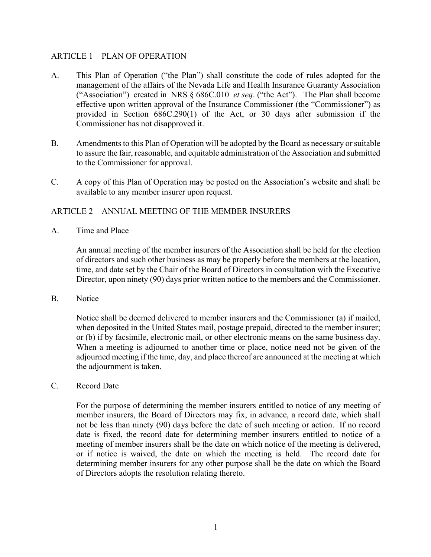## ARTICLE 1 PLAN OF OPERATION

- A. This Plan of Operation ("the Plan") shall constitute the code of rules adopted for the management of the affairs of the Nevada Life and Health Insurance Guaranty Association ("Association") created in NRS § 686C.010 *et seq*. ("the Act"). The Plan shall become effective upon written approval of the Insurance Commissioner (the "Commissioner") as provided in Section 686C.290(1) of the Act, or 30 days after submission if the Commissioner has not disapproved it.
- B. Amendments to this Plan of Operation will be adopted by the Board as necessary or suitable to assure the fair, reasonable, and equitable administration of the Association and submitted to the Commissioner for approval.
- C. A copy of this Plan of Operation may be posted on the Association's website and shall be available to any member insurer upon request.

## ARTICLE 2 ANNUAL MEETING OF THE MEMBER INSURERS

A. Time and Place

An annual meeting of the member insurers of the Association shall be held for the election of directors and such other business as may be properly before the members at the location, time, and date set by the Chair of the Board of Directors in consultation with the Executive Director, upon ninety (90) days prior written notice to the members and the Commissioner.

B. Notice

Notice shall be deemed delivered to member insurers and the Commissioner (a) if mailed, when deposited in the United States mail, postage prepaid, directed to the member insurer; or (b) if by facsimile, electronic mail, or other electronic means on the same business day. When a meeting is adjourned to another time or place, notice need not be given of the adjourned meeting if the time, day, and place thereof are announced at the meeting at which the adjournment is taken.

C. Record Date

For the purpose of determining the member insurers entitled to notice of any meeting of member insurers, the Board of Directors may fix, in advance, a record date, which shall not be less than ninety (90) days before the date of such meeting or action. If no record date is fixed, the record date for determining member insurers entitled to notice of a meeting of member insurers shall be the date on which notice of the meeting is delivered, or if notice is waived, the date on which the meeting is held. The record date for determining member insurers for any other purpose shall be the date on which the Board of Directors adopts the resolution relating thereto.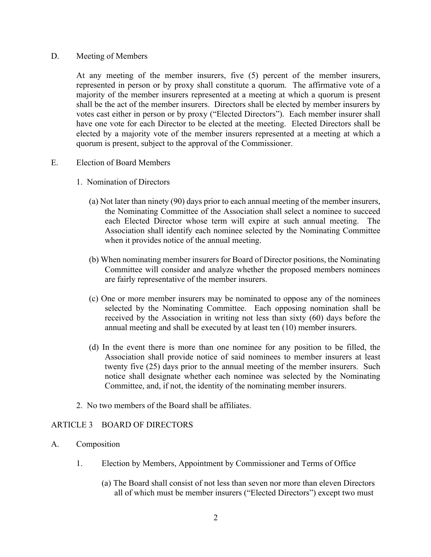#### D. Meeting of Members

At any meeting of the member insurers, five (5) percent of the member insurers, represented in person or by proxy shall constitute a quorum. The affirmative vote of a majority of the member insurers represented at a meeting at which a quorum is present shall be the act of the member insurers. Directors shall be elected by member insurers by votes cast either in person or by proxy ("Elected Directors"). Each member insurer shall have one vote for each Director to be elected at the meeting. Elected Directors shall be elected by a majority vote of the member insurers represented at a meeting at which a quorum is present, subject to the approval of the Commissioner.

#### E. Election of Board Members

- 1. Nomination of Directors
	- (a) Not later than ninety (90) days prior to each annual meeting of the member insurers, the Nominating Committee of the Association shall select a nominee to succeed each Elected Director whose term will expire at such annual meeting. The Association shall identify each nominee selected by the Nominating Committee when it provides notice of the annual meeting.
	- (b) When nominating member insurers for Board of Director positions, the Nominating Committee will consider and analyze whether the proposed members nominees are fairly representative of the member insurers.
	- (c) One or more member insurers may be nominated to oppose any of the nominees selected by the Nominating Committee. Each opposing nomination shall be received by the Association in writing not less than sixty (60) days before the annual meeting and shall be executed by at least ten (10) member insurers.
	- (d) In the event there is more than one nominee for any position to be filled, the Association shall provide notice of said nominees to member insurers at least twenty five (25) days prior to the annual meeting of the member insurers. Such notice shall designate whether each nominee was selected by the Nominating Committee, and, if not, the identity of the nominating member insurers.
- 2. No two members of the Board shall be affiliates.

# ARTICLE 3 BOARD OF DIRECTORS

- A. Composition
	- 1. Election by Members, Appointment by Commissioner and Terms of Office
		- (a) The Board shall consist of not less than seven nor more than eleven Directors all of which must be member insurers ("Elected Directors") except two must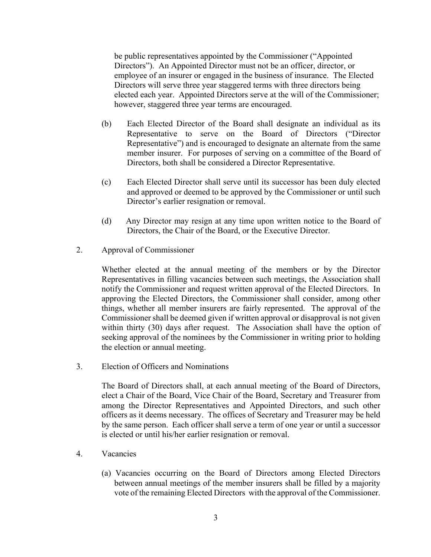be public representatives appointed by the Commissioner ("Appointed Directors"). An Appointed Director must not be an officer, director, or employee of an insurer or engaged in the business of insurance. The Elected Directors will serve three year staggered terms with three directors being elected each year. Appointed Directors serve at the will of the Commissioner; however, staggered three year terms are encouraged.

- (b) Each Elected Director of the Board shall designate an individual as its Representative to serve on the Board of Directors ("Director Representative") and is encouraged to designate an alternate from the same member insurer. For purposes of serving on a committee of the Board of Directors, both shall be considered a Director Representative.
- (c) Each Elected Director shall serve until its successor has been duly elected and approved or deemed to be approved by the Commissioner or until such Director's earlier resignation or removal.
- (d) Any Director may resign at any time upon written notice to the Board of Directors, the Chair of the Board, or the Executive Director.
- 2. Approval of Commissioner

Whether elected at the annual meeting of the members or by the Director Representatives in filling vacancies between such meetings, the Association shall notify the Commissioner and request written approval of the Elected Directors. In approving the Elected Directors, the Commissioner shall consider, among other things, whether all member insurers are fairly represented. The approval of the Commissioner shall be deemed given if written approval or disapproval is not given within thirty (30) days after request. The Association shall have the option of seeking approval of the nominees by the Commissioner in writing prior to holding the election or annual meeting.

3. Election of Officers and Nominations

The Board of Directors shall, at each annual meeting of the Board of Directors, elect a Chair of the Board, Vice Chair of the Board, Secretary and Treasurer from among the Director Representatives and Appointed Directors, and such other officers as it deems necessary. The offices of Secretary and Treasurer may be held by the same person. Each officer shall serve a term of one year or until a successor is elected or until his/her earlier resignation or removal.

- 4. Vacancies
	- (a) Vacancies occurring on the Board of Directors among Elected Directors between annual meetings of the member insurers shall be filled by a majority vote of the remaining Elected Directors with the approval of the Commissioner.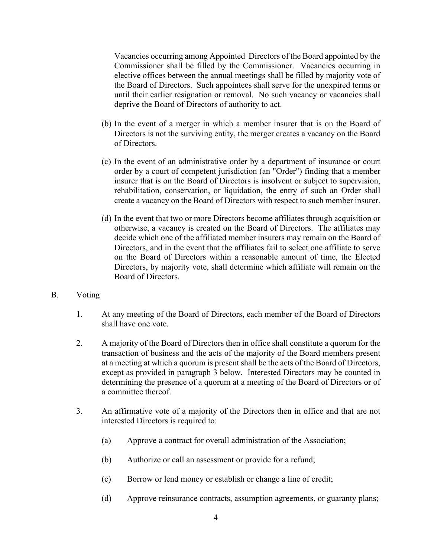Vacancies occurring among Appointed Directors of the Board appointed by the Commissioner shall be filled by the Commissioner. Vacancies occurring in elective offices between the annual meetings shall be filled by majority vote of the Board of Directors. Such appointees shall serve for the unexpired terms or until their earlier resignation or removal. No such vacancy or vacancies shall deprive the Board of Directors of authority to act.

- (b) In the event of a merger in which a member insurer that is on the Board of Directors is not the surviving entity, the merger creates a vacancy on the Board of Directors.
- (c) In the event of an administrative order by a department of insurance or court order by a court of competent jurisdiction (an "Order") finding that a member insurer that is on the Board of Directors is insolvent or subject to supervision, rehabilitation, conservation, or liquidation, the entry of such an Order shall create a vacancy on the Board of Directors with respect to such member insurer.
- (d) In the event that two or more Directors become affiliates through acquisition or otherwise, a vacancy is created on the Board of Directors. The affiliates may decide which one of the affiliated member insurers may remain on the Board of Directors, and in the event that the affiliates fail to select one affiliate to serve on the Board of Directors within a reasonable amount of time, the Elected Directors, by majority vote, shall determine which affiliate will remain on the Board of Directors.
- B. Voting
	- 1. At any meeting of the Board of Directors, each member of the Board of Directors shall have one vote.
	- 2. A majority of the Board of Directors then in office shall constitute a quorum for the transaction of business and the acts of the majority of the Board members present at a meeting at which a quorum is present shall be the acts of the Board of Directors, except as provided in paragraph 3 below. Interested Directors may be counted in determining the presence of a quorum at a meeting of the Board of Directors or of a committee thereof.
	- 3. An affirmative vote of a majority of the Directors then in office and that are not interested Directors is required to:
		- (a) Approve a contract for overall administration of the Association;
		- (b) Authorize or call an assessment or provide for a refund;
		- (c) Borrow or lend money or establish or change a line of credit;
		- (d) Approve reinsurance contracts, assumption agreements, or guaranty plans;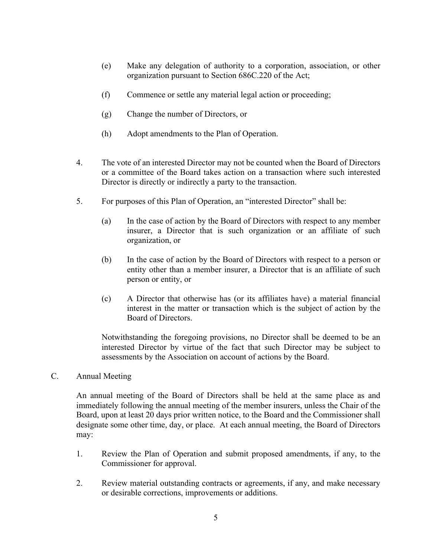- (e) Make any delegation of authority to a corporation, association, or other organization pursuant to Section 686C.220 of the Act;
- (f) Commence or settle any material legal action or proceeding;
- (g) Change the number of Directors, or
- (h) Adopt amendments to the Plan of Operation.
- 4. The vote of an interested Director may not be counted when the Board of Directors or a committee of the Board takes action on a transaction where such interested Director is directly or indirectly a party to the transaction.
- 5. For purposes of this Plan of Operation, an "interested Director" shall be:
	- (a) In the case of action by the Board of Directors with respect to any member insurer, a Director that is such organization or an affiliate of such organization, or
	- (b) In the case of action by the Board of Directors with respect to a person or entity other than a member insurer, a Director that is an affiliate of such person or entity, or
	- (c) A Director that otherwise has (or its affiliates have) a material financial interest in the matter or transaction which is the subject of action by the Board of Directors.

Notwithstanding the foregoing provisions, no Director shall be deemed to be an interested Director by virtue of the fact that such Director may be subject to assessments by the Association on account of actions by the Board.

C. Annual Meeting

An annual meeting of the Board of Directors shall be held at the same place as and immediately following the annual meeting of the member insurers, unless the Chair of the Board, upon at least 20 days prior written notice, to the Board and the Commissioner shall designate some other time, day, or place. At each annual meeting, the Board of Directors may:

- 1. Review the Plan of Operation and submit proposed amendments, if any, to the Commissioner for approval.
- 2. Review material outstanding contracts or agreements, if any, and make necessary or desirable corrections, improvements or additions.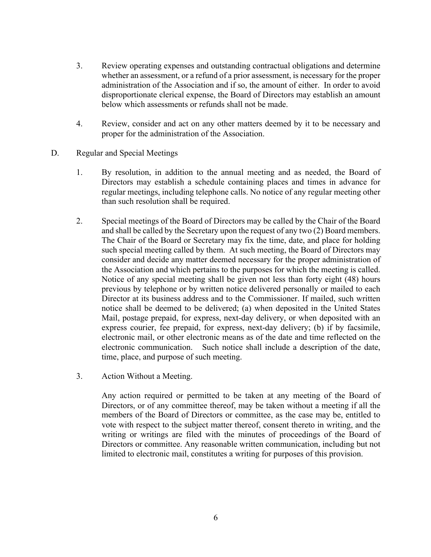- 3. Review operating expenses and outstanding contractual obligations and determine whether an assessment, or a refund of a prior assessment, is necessary for the proper administration of the Association and if so, the amount of either. In order to avoid disproportionate clerical expense, the Board of Directors may establish an amount below which assessments or refunds shall not be made.
- 4. Review, consider and act on any other matters deemed by it to be necessary and proper for the administration of the Association.
- D. Regular and Special Meetings
	- 1. By resolution, in addition to the annual meeting and as needed, the Board of Directors may establish a schedule containing places and times in advance for regular meetings, including telephone calls. No notice of any regular meeting other than such resolution shall be required.
	- 2. Special meetings of the Board of Directors may be called by the Chair of the Board and shall be called by the Secretary upon the request of any two (2) Board members. The Chair of the Board or Secretary may fix the time, date, and place for holding such special meeting called by them. At such meeting, the Board of Directors may consider and decide any matter deemed necessary for the proper administration of the Association and which pertains to the purposes for which the meeting is called. Notice of any special meeting shall be given not less than forty eight (48) hours previous by telephone or by written notice delivered personally or mailed to each Director at its business address and to the Commissioner. If mailed, such written notice shall be deemed to be delivered; (a) when deposited in the United States Mail, postage prepaid, for express, next-day delivery, or when deposited with an express courier, fee prepaid, for express, next-day delivery; (b) if by facsimile, electronic mail, or other electronic means as of the date and time reflected on the electronic communication. Such notice shall include a description of the date, time, place, and purpose of such meeting.
	- 3. Action Without a Meeting.

Any action required or permitted to be taken at any meeting of the Board of Directors, or of any committee thereof, may be taken without a meeting if all the members of the Board of Directors or committee, as the case may be, entitled to vote with respect to the subject matter thereof, consent thereto in writing, and the writing or writings are filed with the minutes of proceedings of the Board of Directors or committee. Any reasonable written communication, including but not limited to electronic mail, constitutes a writing for purposes of this provision.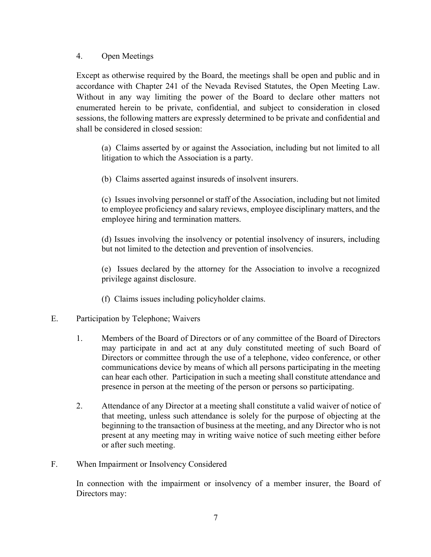## 4. Open Meetings

Except as otherwise required by the Board, the meetings shall be open and public and in accordance with Chapter 241 of the Nevada Revised Statutes, the Open Meeting Law. Without in any way limiting the power of the Board to declare other matters not enumerated herein to be private, confidential, and subject to consideration in closed sessions, the following matters are expressly determined to be private and confidential and shall be considered in closed session:

(a) Claims asserted by or against the Association, including but not limited to all litigation to which the Association is a party.

(b) Claims asserted against insureds of insolvent insurers.

(c) Issues involving personnel or staff of the Association, including but not limited to employee proficiency and salary reviews, employee disciplinary matters, and the employee hiring and termination matters.

(d) Issues involving the insolvency or potential insolvency of insurers, including but not limited to the detection and prevention of insolvencies.

(e) Issues declared by the attorney for the Association to involve a recognized privilege against disclosure.

(f) Claims issues including policyholder claims.

# E. Participation by Telephone; Waivers

- 1. Members of the Board of Directors or of any committee of the Board of Directors may participate in and act at any duly constituted meeting of such Board of Directors or committee through the use of a telephone, video conference, or other communications device by means of which all persons participating in the meeting can hear each other. Participation in such a meeting shall constitute attendance and presence in person at the meeting of the person or persons so participating.
- 2. Attendance of any Director at a meeting shall constitute a valid waiver of notice of that meeting, unless such attendance is solely for the purpose of objecting at the beginning to the transaction of business at the meeting, and any Director who is not present at any meeting may in writing waive notice of such meeting either before or after such meeting.
- F. When Impairment or Insolvency Considered

In connection with the impairment or insolvency of a member insurer, the Board of Directors may: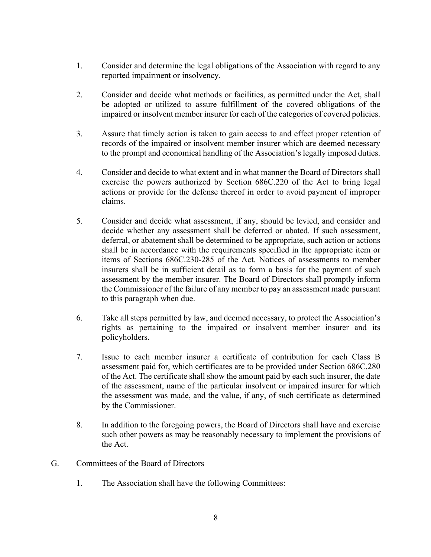- 1. Consider and determine the legal obligations of the Association with regard to any reported impairment or insolvency.
- 2. Consider and decide what methods or facilities, as permitted under the Act, shall be adopted or utilized to assure fulfillment of the covered obligations of the impaired or insolvent member insurer for each of the categories of covered policies.
- 3. Assure that timely action is taken to gain access to and effect proper retention of records of the impaired or insolvent member insurer which are deemed necessary to the prompt and economical handling of the Association's legally imposed duties.
- 4. Consider and decide to what extent and in what manner the Board of Directors shall exercise the powers authorized by Section 686C.220 of the Act to bring legal actions or provide for the defense thereof in order to avoid payment of improper claims.
- 5. Consider and decide what assessment, if any, should be levied, and consider and decide whether any assessment shall be deferred or abated. If such assessment, deferral, or abatement shall be determined to be appropriate, such action or actions shall be in accordance with the requirements specified in the appropriate item or items of Sections 686C.230-285 of the Act. Notices of assessments to member insurers shall be in sufficient detail as to form a basis for the payment of such assessment by the member insurer. The Board of Directors shall promptly inform the Commissioner of the failure of any member to pay an assessment made pursuant to this paragraph when due.
- 6. Take all steps permitted by law, and deemed necessary, to protect the Association's rights as pertaining to the impaired or insolvent member insurer and its policyholders.
- 7. Issue to each member insurer a certificate of contribution for each Class B assessment paid for, which certificates are to be provided under Section 686C.280 of the Act. The certificate shall show the amount paid by each such insurer, the date of the assessment, name of the particular insolvent or impaired insurer for which the assessment was made, and the value, if any, of such certificate as determined by the Commissioner.
- 8. In addition to the foregoing powers, the Board of Directors shall have and exercise such other powers as may be reasonably necessary to implement the provisions of the Act.
- G. Committees of the Board of Directors
	- 1. The Association shall have the following Committees: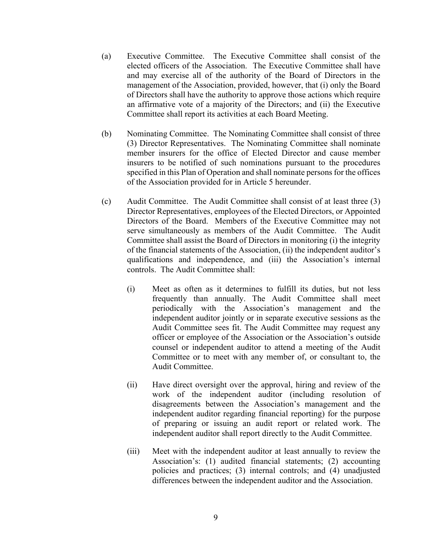- (a) Executive Committee. The Executive Committee shall consist of the elected officers of the Association. The Executive Committee shall have and may exercise all of the authority of the Board of Directors in the management of the Association, provided, however, that (i) only the Board of Directors shall have the authority to approve those actions which require an affirmative vote of a majority of the Directors; and (ii) the Executive Committee shall report its activities at each Board Meeting.
- (b) Nominating Committee. The Nominating Committee shall consist of three (3) Director Representatives. The Nominating Committee shall nominate member insurers for the office of Elected Director and cause member insurers to be notified of such nominations pursuant to the procedures specified in this Plan of Operation and shall nominate persons for the offices of the Association provided for in Article 5 hereunder.
- (c) Audit Committee. The Audit Committee shall consist of at least three (3) Director Representatives, employees of the Elected Directors, or Appointed Directors of the Board. Members of the Executive Committee may not serve simultaneously as members of the Audit Committee. The Audit Committee shall assist the Board of Directors in monitoring (i) the integrity of the financial statements of the Association, (ii) the independent auditor's qualifications and independence, and (iii) the Association's internal controls. The Audit Committee shall:
	- (i) Meet as often as it determines to fulfill its duties, but not less frequently than annually. The Audit Committee shall meet periodically with the Association's management and the independent auditor jointly or in separate executive sessions as the Audit Committee sees fit. The Audit Committee may request any officer or employee of the Association or the Association's outside counsel or independent auditor to attend a meeting of the Audit Committee or to meet with any member of, or consultant to, the Audit Committee.
	- (ii) Have direct oversight over the approval, hiring and review of the work of the independent auditor (including resolution of disagreements between the Association's management and the independent auditor regarding financial reporting) for the purpose of preparing or issuing an audit report or related work. The independent auditor shall report directly to the Audit Committee.
	- (iii) Meet with the independent auditor at least annually to review the Association's: (1) audited financial statements; (2) accounting policies and practices; (3) internal controls; and (4) unadjusted differences between the independent auditor and the Association.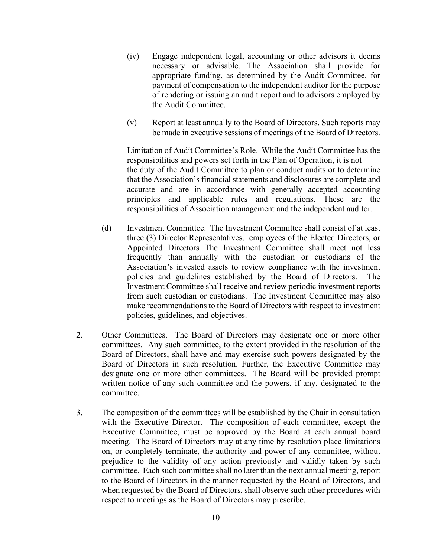- (iv) Engage independent legal, accounting or other advisors it deems necessary or advisable. The Association shall provide for appropriate funding, as determined by the Audit Committee, for payment of compensation to the independent auditor for the purpose of rendering or issuing an audit report and to advisors employed by the Audit Committee.
- (v) Report at least annually to the Board of Directors. Such reports may be made in executive sessions of meetings of the Board of Directors.

Limitation of Audit Committee's Role. While the Audit Committee has the responsibilities and powers set forth in the Plan of Operation, it is not the duty of the Audit Committee to plan or conduct audits or to determine that the Association's financial statements and disclosures are complete and accurate and are in accordance with generally accepted accounting principles and applicable rules and regulations. These are the responsibilities of Association management and the independent auditor.

- (d) Investment Committee. The Investment Committee shall consist of at least three (3) Director Representatives, employees of the Elected Directors, or Appointed Directors The Investment Committee shall meet not less frequently than annually with the custodian or custodians of the Association's invested assets to review compliance with the investment policies and guidelines established by the Board of Directors. Investment Committee shall receive and review periodic investment reports from such custodian or custodians. The Investment Committee may also make recommendations to the Board of Directors with respect to investment policies, guidelines, and objectives.
- 2. Other Committees. The Board of Directors may designate one or more other committees. Any such committee, to the extent provided in the resolution of the Board of Directors, shall have and may exercise such powers designated by the Board of Directors in such resolution. Further, the Executive Committee may designate one or more other committees. The Board will be provided prompt written notice of any such committee and the powers, if any, designated to the committee.
- 3. The composition of the committees will be established by the Chair in consultation with the Executive Director. The composition of each committee, except the Executive Committee, must be approved by the Board at each annual board meeting. The Board of Directors may at any time by resolution place limitations on, or completely terminate, the authority and power of any committee, without prejudice to the validity of any action previously and validly taken by such committee. Each such committee shall no later than the next annual meeting, report to the Board of Directors in the manner requested by the Board of Directors, and when requested by the Board of Directors, shall observe such other procedures with respect to meetings as the Board of Directors may prescribe.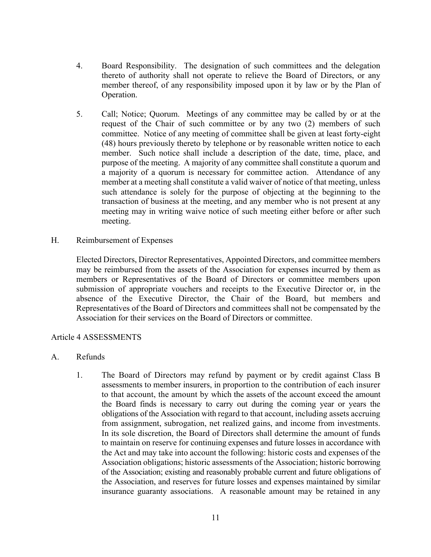- 4. Board Responsibility. The designation of such committees and the delegation thereto of authority shall not operate to relieve the Board of Directors, or any member thereof, of any responsibility imposed upon it by law or by the Plan of Operation.
- 5. Call; Notice; Quorum. Meetings of any committee may be called by or at the request of the Chair of such committee or by any two (2) members of such committee. Notice of any meeting of committee shall be given at least forty-eight (48) hours previously thereto by telephone or by reasonable written notice to each member. Such notice shall include a description of the date, time, place, and purpose of the meeting. A majority of any committee shall constitute a quorum and a majority of a quorum is necessary for committee action. Attendance of any member at a meeting shall constitute a valid waiver of notice of that meeting, unless such attendance is solely for the purpose of objecting at the beginning to the transaction of business at the meeting, and any member who is not present at any meeting may in writing waive notice of such meeting either before or after such meeting.
- H. Reimbursement of Expenses

Elected Directors, Director Representatives, Appointed Directors, and committee members may be reimbursed from the assets of the Association for expenses incurred by them as members or Representatives of the Board of Directors or committee members upon submission of appropriate vouchers and receipts to the Executive Director or, in the absence of the Executive Director, the Chair of the Board, but members and Representatives of the Board of Directors and committees shall not be compensated by the Association for their services on the Board of Directors or committee.

### Article 4 ASSESSMENTS

- A. Refunds
	- 1. The Board of Directors may refund by payment or by credit against Class B assessments to member insurers, in proportion to the contribution of each insurer to that account, the amount by which the assets of the account exceed the amount the Board finds is necessary to carry out during the coming year or years the obligations of the Association with regard to that account, including assets accruing from assignment, subrogation, net realized gains, and income from investments. In its sole discretion, the Board of Directors shall determine the amount of funds to maintain on reserve for continuing expenses and future losses in accordance with the Act and may take into account the following: historic costs and expenses of the Association obligations; historic assessments of the Association; historic borrowing of the Association; existing and reasonably probable current and future obligations of the Association, and reserves for future losses and expenses maintained by similar insurance guaranty associations. A reasonable amount may be retained in any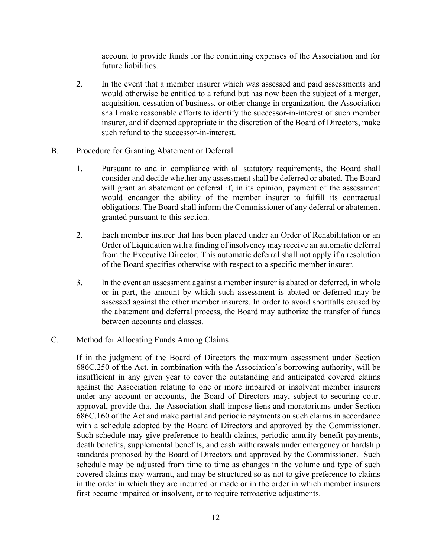account to provide funds for the continuing expenses of the Association and for future liabilities.

- 2. In the event that a member insurer which was assessed and paid assessments and would otherwise be entitled to a refund but has now been the subject of a merger, acquisition, cessation of business, or other change in organization, the Association shall make reasonable efforts to identify the successor-in-interest of such member insurer, and if deemed appropriate in the discretion of the Board of Directors, make such refund to the successor-in-interest.
- B. Procedure for Granting Abatement or Deferral
	- 1. Pursuant to and in compliance with all statutory requirements, the Board shall consider and decide whether any assessment shall be deferred or abated. The Board will grant an abatement or deferral if, in its opinion, payment of the assessment would endanger the ability of the member insurer to fulfill its contractual obligations. The Board shall inform the Commissioner of any deferral or abatement granted pursuant to this section.
	- 2. Each member insurer that has been placed under an Order of Rehabilitation or an Order of Liquidation with a finding of insolvency may receive an automatic deferral from the Executive Director. This automatic deferral shall not apply if a resolution of the Board specifies otherwise with respect to a specific member insurer.
	- 3. In the event an assessment against a member insurer is abated or deferred, in whole or in part, the amount by which such assessment is abated or deferred may be assessed against the other member insurers. In order to avoid shortfalls caused by the abatement and deferral process, the Board may authorize the transfer of funds between accounts and classes.
- C. Method for Allocating Funds Among Claims

If in the judgment of the Board of Directors the maximum assessment under Section 686C.250 of the Act, in combination with the Association's borrowing authority, will be insufficient in any given year to cover the outstanding and anticipated covered claims against the Association relating to one or more impaired or insolvent member insurers under any account or accounts, the Board of Directors may, subject to securing court approval, provide that the Association shall impose liens and moratoriums under Section 686C.160 of the Act and make partial and periodic payments on such claims in accordance with a schedule adopted by the Board of Directors and approved by the Commissioner. Such schedule may give preference to health claims, periodic annuity benefit payments, death benefits, supplemental benefits, and cash withdrawals under emergency or hardship standards proposed by the Board of Directors and approved by the Commissioner. Such schedule may be adjusted from time to time as changes in the volume and type of such covered claims may warrant, and may be structured so as not to give preference to claims in the order in which they are incurred or made or in the order in which member insurers first became impaired or insolvent, or to require retroactive adjustments.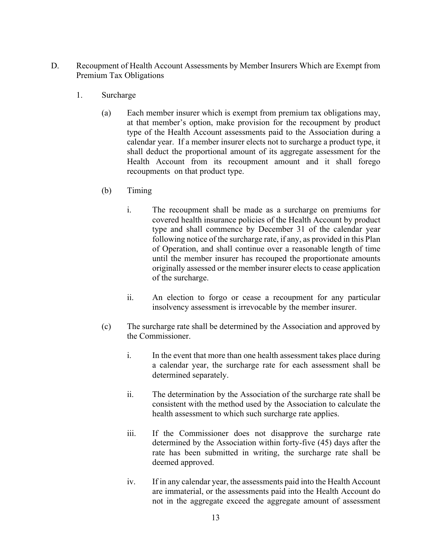- D. Recoupment of Health Account Assessments by Member Insurers Which are Exempt from Premium Tax Obligations
	- 1. Surcharge
		- (a) Each member insurer which is exempt from premium tax obligations may, at that member's option, make provision for the recoupment by product type of the Health Account assessments paid to the Association during a calendar year. If a member insurer elects not to surcharge a product type, it shall deduct the proportional amount of its aggregate assessment for the Health Account from its recoupment amount and it shall forego recoupments on that product type.
		- (b) Timing
			- i. The recoupment shall be made as a surcharge on premiums for covered health insurance policies of the Health Account by product type and shall commence by December 31 of the calendar year following notice of the surcharge rate, if any, as provided in this Plan of Operation, and shall continue over a reasonable length of time until the member insurer has recouped the proportionate amounts originally assessed or the member insurer elects to cease application of the surcharge.
			- ii. An election to forgo or cease a recoupment for any particular insolvency assessment is irrevocable by the member insurer.
		- (c) The surcharge rate shall be determined by the Association and approved by the Commissioner.
			- i. In the event that more than one health assessment takes place during a calendar year, the surcharge rate for each assessment shall be determined separately.
			- ii. The determination by the Association of the surcharge rate shall be consistent with the method used by the Association to calculate the health assessment to which such surcharge rate applies.
			- iii. If the Commissioner does not disapprove the surcharge rate determined by the Association within forty-five (45) days after the rate has been submitted in writing, the surcharge rate shall be deemed approved.
			- iv. If in any calendar year, the assessments paid into the Health Account are immaterial, or the assessments paid into the Health Account do not in the aggregate exceed the aggregate amount of assessment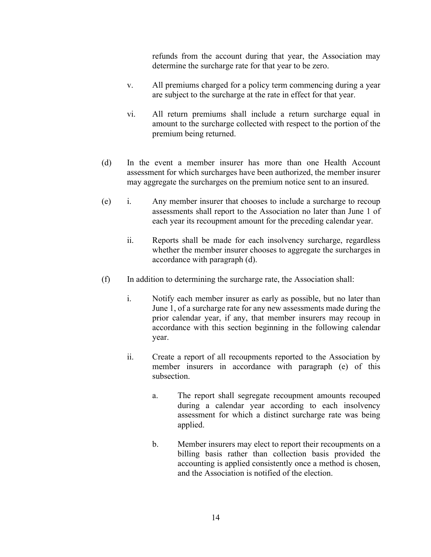refunds from the account during that year, the Association may determine the surcharge rate for that year to be zero.

- v. All premiums charged for a policy term commencing during a year are subject to the surcharge at the rate in effect for that year.
- vi. All return premiums shall include a return surcharge equal in amount to the surcharge collected with respect to the portion of the premium being returned.
- (d) In the event a member insurer has more than one Health Account assessment for which surcharges have been authorized, the member insurer may aggregate the surcharges on the premium notice sent to an insured.
- (e) i. Any member insurer that chooses to include a surcharge to recoup assessments shall report to the Association no later than June 1 of each year its recoupment amount for the preceding calendar year.
	- ii. Reports shall be made for each insolvency surcharge, regardless whether the member insurer chooses to aggregate the surcharges in accordance with paragraph (d).
- (f) In addition to determining the surcharge rate, the Association shall:
	- i. Notify each member insurer as early as possible, but no later than June 1, of a surcharge rate for any new assessments made during the prior calendar year, if any, that member insurers may recoup in accordance with this section beginning in the following calendar year.
	- ii. Create a report of all recoupments reported to the Association by member insurers in accordance with paragraph (e) of this subsection.
		- a. The report shall segregate recoupment amounts recouped during a calendar year according to each insolvency assessment for which a distinct surcharge rate was being applied.
		- b. Member insurers may elect to report their recoupments on a billing basis rather than collection basis provided the accounting is applied consistently once a method is chosen, and the Association is notified of the election.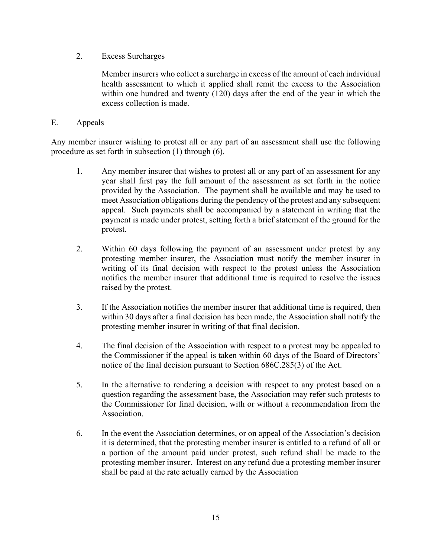2. Excess Surcharges

Member insurers who collect a surcharge in excess of the amount of each individual health assessment to which it applied shall remit the excess to the Association within one hundred and twenty (120) days after the end of the year in which the excess collection is made.

## E. Appeals

Any member insurer wishing to protest all or any part of an assessment shall use the following procedure as set forth in subsection (1) through (6).

- 1. Any member insurer that wishes to protest all or any part of an assessment for any year shall first pay the full amount of the assessment as set forth in the notice provided by the Association. The payment shall be available and may be used to meet Association obligations during the pendency of the protest and any subsequent appeal. Such payments shall be accompanied by a statement in writing that the payment is made under protest, setting forth a brief statement of the ground for the protest.
- 2. Within 60 days following the payment of an assessment under protest by any protesting member insurer, the Association must notify the member insurer in writing of its final decision with respect to the protest unless the Association notifies the member insurer that additional time is required to resolve the issues raised by the protest.
- 3. If the Association notifies the member insurer that additional time is required, then within 30 days after a final decision has been made, the Association shall notify the protesting member insurer in writing of that final decision.
- 4. The final decision of the Association with respect to a protest may be appealed to the Commissioner if the appeal is taken within 60 days of the Board of Directors' notice of the final decision pursuant to Section 686C.285(3) of the Act.
- 5. In the alternative to rendering a decision with respect to any protest based on a question regarding the assessment base, the Association may refer such protests to the Commissioner for final decision, with or without a recommendation from the Association.
- 6. In the event the Association determines, or on appeal of the Association's decision it is determined, that the protesting member insurer is entitled to a refund of all or a portion of the amount paid under protest, such refund shall be made to the protesting member insurer. Interest on any refund due a protesting member insurer shall be paid at the rate actually earned by the Association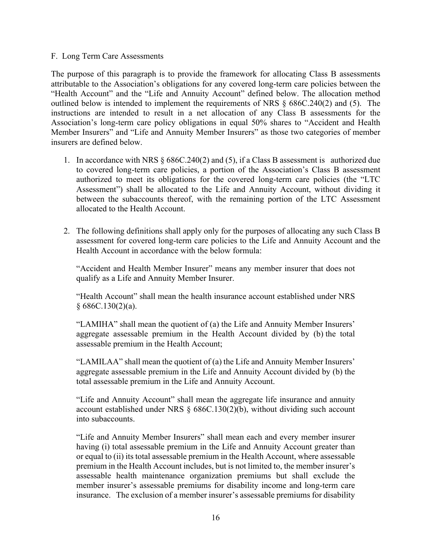#### F. Long Term Care Assessments

The purpose of this paragraph is to provide the framework for allocating Class B assessments attributable to the Association's obligations for any covered long-term care policies between the "Health Account" and the "Life and Annuity Account" defined below. The allocation method outlined below is intended to implement the requirements of NRS § 686C.240(2) and (5). The instructions are intended to result in a net allocation of any Class B assessments for the Association's long-term care policy obligations in equal 50% shares to "Accident and Health Member Insurers" and "Life and Annuity Member Insurers" as those two categories of member insurers are defined below.

- 1. In accordance with NRS § 686C.240(2) and (5), if a Class B assessment is authorized due to covered long-term care policies, a portion of the Association's Class B assessment authorized to meet its obligations for the covered long-term care policies (the "LTC Assessment") shall be allocated to the Life and Annuity Account, without dividing it between the subaccounts thereof, with the remaining portion of the LTC Assessment allocated to the Health Account.
- 2. The following definitions shall apply only for the purposes of allocating any such Class B assessment for covered long-term care policies to the Life and Annuity Account and the Health Account in accordance with the below formula:

"Accident and Health Member Insurer" means any member insurer that does not qualify as a Life and Annuity Member Insurer.

"Health Account" shall mean the health insurance account established under NRS  $§ 686C.130(2)(a).$ 

"LAMIHA" shall mean the quotient of (a) the Life and Annuity Member Insurers' aggregate assessable premium in the Health Account divided by (b) the total assessable premium in the Health Account;

"LAMILAA" shall mean the quotient of (a) the Life and Annuity Member Insurers' aggregate assessable premium in the Life and Annuity Account divided by (b) the total assessable premium in the Life and Annuity Account.

"Life and Annuity Account" shall mean the aggregate life insurance and annuity account established under NRS § 686C.130(2)(b), without dividing such account into subaccounts.

"Life and Annuity Member Insurers" shall mean each and every member insurer having (i) total assessable premium in the Life and Annuity Account greater than or equal to (ii) its total assessable premium in the Health Account, where assessable premium in the Health Account includes, but is not limited to, the member insurer's assessable health maintenance organization premiums but shall exclude the member insurer's assessable premiums for disability income and long-term care insurance. The exclusion of a member insurer's assessable premiums for disability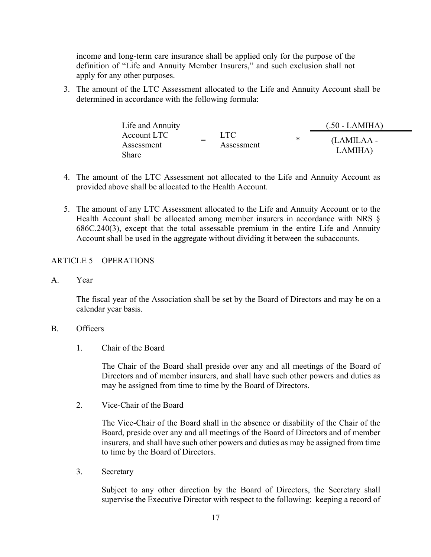income and long-term care insurance shall be applied only for the purpose of the definition of "Life and Annuity Member Insurers," and such exclusion shall not apply for any other purposes.

3. The amount of the LTC Assessment allocated to the Life and Annuity Account shall be determined in accordance with the following formula:

| Life and Annuity |  |                    |   | $(.50 - LAMIHA)$      |
|------------------|--|--------------------|---|-----------------------|
| Account LTC      |  | LTC.<br>Assessment | ∗ | (LAMILAA -<br>LAMIHA) |
| Assessment       |  |                    |   |                       |
| Share            |  |                    |   |                       |

- 4. The amount of the LTC Assessment not allocated to the Life and Annuity Account as provided above shall be allocated to the Health Account.
- 5. The amount of any LTC Assessment allocated to the Life and Annuity Account or to the Health Account shall be allocated among member insurers in accordance with NRS § 686C.240(3), except that the total assessable premium in the entire Life and Annuity Account shall be used in the aggregate without dividing it between the subaccounts.

# ARTICLE 5 OPERATIONS

A. Year

The fiscal year of the Association shall be set by the Board of Directors and may be on a calendar year basis.

## B. Officers

1. Chair of the Board

The Chair of the Board shall preside over any and all meetings of the Board of Directors and of member insurers, and shall have such other powers and duties as may be assigned from time to time by the Board of Directors.

2. Vice-Chair of the Board

The Vice-Chair of the Board shall in the absence or disability of the Chair of the Board, preside over any and all meetings of the Board of Directors and of member insurers, and shall have such other powers and duties as may be assigned from time to time by the Board of Directors.

3. Secretary

Subject to any other direction by the Board of Directors, the Secretary shall supervise the Executive Director with respect to the following: keeping a record of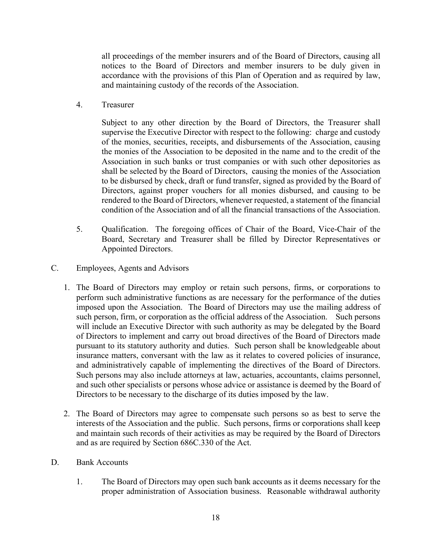all proceedings of the member insurers and of the Board of Directors, causing all notices to the Board of Directors and member insurers to be duly given in accordance with the provisions of this Plan of Operation and as required by law, and maintaining custody of the records of the Association.

4. Treasurer

Subject to any other direction by the Board of Directors, the Treasurer shall supervise the Executive Director with respect to the following: charge and custody of the monies, securities, receipts, and disbursements of the Association, causing the monies of the Association to be deposited in the name and to the credit of the Association in such banks or trust companies or with such other depositories as shall be selected by the Board of Directors, causing the monies of the Association to be disbursed by check, draft or fund transfer, signed as provided by the Board of Directors, against proper vouchers for all monies disbursed, and causing to be rendered to the Board of Directors, whenever requested, a statement of the financial condition of the Association and of all the financial transactions of the Association.

- 5. Qualification. The foregoing offices of Chair of the Board, Vice-Chair of the Board, Secretary and Treasurer shall be filled by Director Representatives or Appointed Directors.
- C. Employees, Agents and Advisors
	- 1. The Board of Directors may employ or retain such persons, firms, or corporations to perform such administrative functions as are necessary for the performance of the duties imposed upon the Association. The Board of Directors may use the mailing address of such person, firm, or corporation as the official address of the Association. Such persons will include an Executive Director with such authority as may be delegated by the Board of Directors to implement and carry out broad directives of the Board of Directors made pursuant to its statutory authority and duties. Such person shall be knowledgeable about insurance matters, conversant with the law as it relates to covered policies of insurance, and administratively capable of implementing the directives of the Board of Directors. Such persons may also include attorneys at law, actuaries, accountants, claims personnel, and such other specialists or persons whose advice or assistance is deemed by the Board of Directors to be necessary to the discharge of its duties imposed by the law.
	- 2. The Board of Directors may agree to compensate such persons so as best to serve the interests of the Association and the public. Such persons, firms or corporations shall keep and maintain such records of their activities as may be required by the Board of Directors and as are required by Section 686C.330 of the Act.
- D. Bank Accounts
	- 1. The Board of Directors may open such bank accounts as it deems necessary for the proper administration of Association business. Reasonable withdrawal authority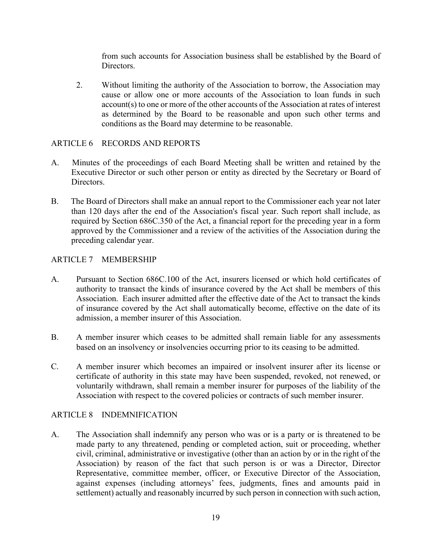from such accounts for Association business shall be established by the Board of Directors.

2. Without limiting the authority of the Association to borrow, the Association may cause or allow one or more accounts of the Association to loan funds in such account(s) to one or more of the other accounts of the Association at rates of interest as determined by the Board to be reasonable and upon such other terms and conditions as the Board may determine to be reasonable.

## ARTICLE 6 RECORDS AND REPORTS

- A. Minutes of the proceedings of each Board Meeting shall be written and retained by the Executive Director or such other person or entity as directed by the Secretary or Board of Directors.
- B. The Board of Directors shall make an annual report to the Commissioner each year not later than 120 days after the end of the Association's fiscal year. Such report shall include, as required by Section 686C.350 of the Act, a financial report for the preceding year in a form approved by the Commissioner and a review of the activities of the Association during the preceding calendar year.

## ARTICLE 7 MEMBERSHIP

- A. Pursuant to Section 686C.100 of the Act, insurers licensed or which hold certificates of authority to transact the kinds of insurance covered by the Act shall be members of this Association. Each insurer admitted after the effective date of the Act to transact the kinds of insurance covered by the Act shall automatically become, effective on the date of its admission, a member insurer of this Association.
- B. A member insurer which ceases to be admitted shall remain liable for any assessments based on an insolvency or insolvencies occurring prior to its ceasing to be admitted.
- C. A member insurer which becomes an impaired or insolvent insurer after its license or certificate of authority in this state may have been suspended, revoked, not renewed, or voluntarily withdrawn, shall remain a member insurer for purposes of the liability of the Association with respect to the covered policies or contracts of such member insurer.

### ARTICLE 8 INDEMNIFICATION

A. The Association shall indemnify any person who was or is a party or is threatened to be made party to any threatened, pending or completed action, suit or proceeding, whether civil, criminal, administrative or investigative (other than an action by or in the right of the Association) by reason of the fact that such person is or was a Director, Director Representative, committee member, officer, or Executive Director of the Association, against expenses (including attorneys' fees, judgments, fines and amounts paid in settlement) actually and reasonably incurred by such person in connection with such action,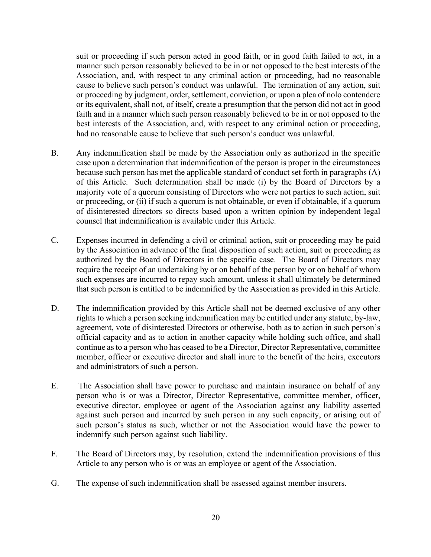suit or proceeding if such person acted in good faith, or in good faith failed to act, in a manner such person reasonably believed to be in or not opposed to the best interests of the Association, and, with respect to any criminal action or proceeding, had no reasonable cause to believe such person's conduct was unlawful. The termination of any action, suit or proceeding by judgment, order, settlement, conviction, or upon a plea of nolo contendere or its equivalent, shall not, of itself, create a presumption that the person did not act in good faith and in a manner which such person reasonably believed to be in or not opposed to the best interests of the Association, and, with respect to any criminal action or proceeding, had no reasonable cause to believe that such person's conduct was unlawful.

- B. Any indemnification shall be made by the Association only as authorized in the specific case upon a determination that indemnification of the person is proper in the circumstances because such person has met the applicable standard of conduct set forth in paragraphs (A) of this Article. Such determination shall be made (i) by the Board of Directors by a majority vote of a quorum consisting of Directors who were not parties to such action, suit or proceeding, or (ii) if such a quorum is not obtainable, or even if obtainable, if a quorum of disinterested directors so directs based upon a written opinion by independent legal counsel that indemnification is available under this Article.
- C. Expenses incurred in defending a civil or criminal action, suit or proceeding may be paid by the Association in advance of the final disposition of such action, suit or proceeding as authorized by the Board of Directors in the specific case. The Board of Directors may require the receipt of an undertaking by or on behalf of the person by or on behalf of whom such expenses are incurred to repay such amount, unless it shall ultimately be determined that such person is entitled to be indemnified by the Association as provided in this Article.
- D. The indemnification provided by this Article shall not be deemed exclusive of any other rights to which a person seeking indemnification may be entitled under any statute, by-law, agreement, vote of disinterested Directors or otherwise, both as to action in such person's official capacity and as to action in another capacity while holding such office, and shall continue as to a person who has ceased to be a Director, Director Representative, committee member, officer or executive director and shall inure to the benefit of the heirs, executors and administrators of such a person.
- E. The Association shall have power to purchase and maintain insurance on behalf of any person who is or was a Director, Director Representative, committee member, officer, executive director, employee or agent of the Association against any liability asserted against such person and incurred by such person in any such capacity, or arising out of such person's status as such, whether or not the Association would have the power to indemnify such person against such liability.
- F. The Board of Directors may, by resolution, extend the indemnification provisions of this Article to any person who is or was an employee or agent of the Association.
- G. The expense of such indemnification shall be assessed against member insurers.